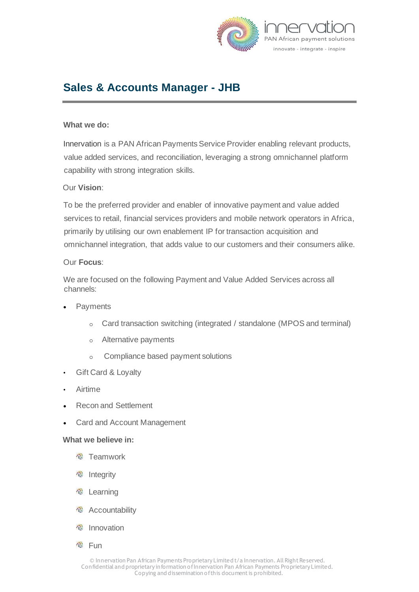

# **Sales & Accounts Manager - JHB**

## **What we do:**

Innervation is a PAN African Payments Service Provider enabling relevant products, value added services, and reconciliation, leveraging a strong omnichannel platform capability with strong integration skills.

## Our **Vision**:

To be the preferred provider and enabler of innovative payment and value added services to retail, financial services providers and mobile network operators in Africa, primarily by utilising our own enablement IP for transaction acquisition and omnichannel integration, that adds value to our customers and their consumers alike.

### Our **Focus**:

We are focused on the following Payment and Value Added Services across all channels:

- **Payments** 
	- o Card transaction switching (integrated / standalone (MPOS and terminal)
	- o Alternative payments
	- o Compliance based payment solutions
- Gift Card & Loyalty
- Airtime
- Recon and Settlement
- Card and Account Management

#### **What we believe in:**

- **<sup>卷</sup> Teamwork**
- *<sup>•</sup>* Integrity
- **Page** Learning
- **<sup><sup>®</sup>**</sup> Accountability
- **卷** Innovation
- **卷** Fun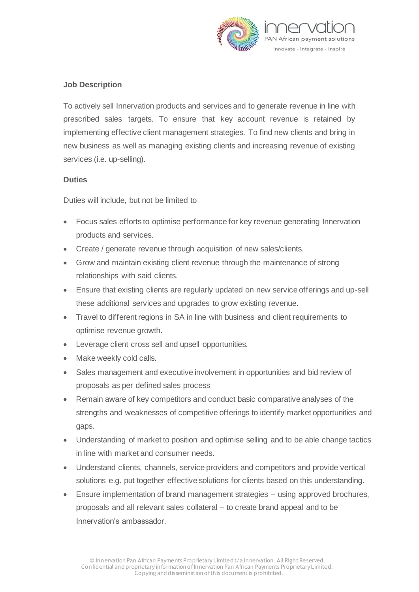

# **Job Description**

To actively sell Innervation products and services and to generate revenue in line with prescribed sales targets. To ensure that key account revenue is retained by implementing effective client management strategies. To find new clients and bring in new business as well as managing existing clients and increasing revenue of existing services (i.e. up-selling).

# **Duties**

Duties will include, but not be limited to

- Focus sales efforts to optimise performance for key revenue generating Innervation products and services.
- Create / generate revenue through acquisition of new sales/clients.
- Grow and maintain existing client revenue through the maintenance of strong relationships with said clients.
- Ensure that existing clients are regularly updated on new service offerings and up-sell these additional services and upgrades to grow existing revenue.
- Travel to different regions in SA in line with business and client requirements to optimise revenue growth.
- Leverage client cross sell and upsell opportunities.
- Make weekly cold calls.
- Sales management and executive involvement in opportunities and bid review of proposals as per defined sales process
- Remain aware of key competitors and conduct basic comparative analyses of the strengths and weaknesses of competitive offerings to identify market opportunities and gaps.
- Understanding of market to position and optimise selling and to be able change tactics in line with market and consumer needs.
- Understand clients, channels, service providers and competitors and provide vertical solutions e.g. put together effective solutions for clients based on this understanding.
- Ensure implementation of brand management strategies using approved brochures, proposals and all relevant sales collateral – to create brand appeal and to be Innervation's ambassador.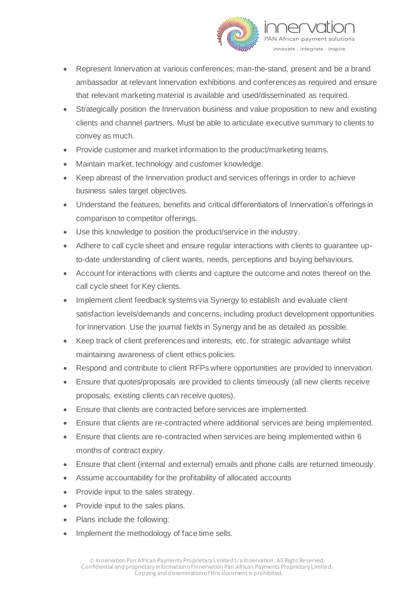

- Represent Innervation at various conferences; man-the-stand, present and be a brand ambassador at relevant Innervation exhibitions and conferences as required and ensure that relevant marketing material is available and used/disseminated as required.
- Strategically position the Innervation business and value proposition to new and existing clients and channel partners. Must be able to articulate executive summary to clients to convey as much.
- Provide customer and market information to the product/marketing teams.
- Maintain market, technology and customer knowledge.
- Keep abreast of the Innervation product and services offerings in order to achieve business sales target objectives.
- Understand the features, benefits and critical differentiators of Innervation's offerings in comparison to competitor offerings.
- Use this knowledge to position the product/service in the industry.
- Adhere to call cycle sheet and ensure regular interactions with clients to guarantee upto-date understanding of client wants, needs, perceptions and buying behaviours.
- Account for interactions with clients and capture the outcome and notes thereof on the call cycle sheet for Key clients.
- Implement client feedback systems via Synergy to establish and evaluate client satisfaction levels/demands and concerns, including product development opportunities for Innervation. Use the journal fields in Synergy and be as detailed as possible.
- Keep track of client preferences and interests, etc. for strategic advantage whilst maintaining awareness of client ethics policies.
- Respond and contribute to client RFPs where opportunities are provided to innervation.
- Ensure that quotes/proposals are provided to clients timeously (all new clients receive proposals; existing clients can receive quotes).
- Ensure that clients are contracted before services are implemented.
- Ensure that clients are re-contracted where additional services are being implemented.
- Ensure that clients are re-contracted when services are being implemented within 6 months of contract expiry.
- Ensure that client (internal and external) emails and phone calls are returned timeously.
- Assume accountability for the profitability of allocated accounts
- Provide input to the sales strategy.
- Provide input to the sales plans.
- Plans include the following:
- Implement the methodology of face time sells.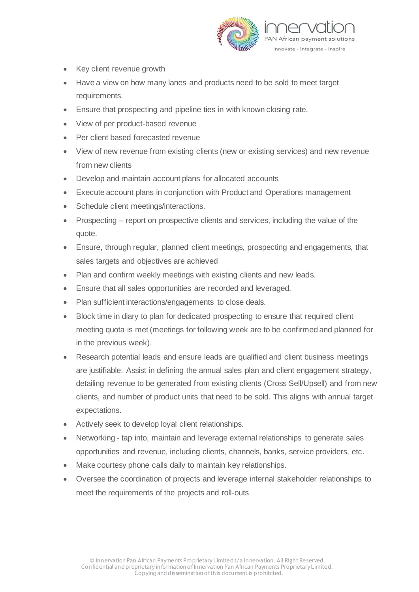

- Key client revenue growth
- Have a view on how many lanes and products need to be sold to meet target requirements.
- Ensure that prospecting and pipeline ties in with known closing rate.
- View of per product-based revenue
- Per client based forecasted revenue
- View of new revenue from existing clients (new or existing services) and new revenue from new clients
- Develop and maintain account plans for allocated accounts
- Execute account plans in conjunction with Product and Operations management
- Schedule client meetings/interactions.
- Prospecting report on prospective clients and services, including the value of the quote.
- Ensure, through regular, planned client meetings, prospecting and engagements, that sales targets and objectives are achieved
- Plan and confirm weekly meetings with existing clients and new leads.
- Ensure that all sales opportunities are recorded and leveraged.
- Plan sufficient interactions/engagements to close deals.
- Block time in diary to plan for dedicated prospecting to ensure that required client meeting quota is met (meetings for following week are to be confirmed and planned for in the previous week).
- Research potential leads and ensure leads are qualified and client business meetings are justifiable. Assist in defining the annual sales plan and client engagement strategy, detailing revenue to be generated from existing clients (Cross Sell/Upsell) and from new clients, and number of product units that need to be sold. This aligns with annual target expectations.
- Actively seek to develop loyal client relationships.
- Networking tap into, maintain and leverage external relationships to generate sales opportunities and revenue, including clients, channels, banks, service providers, etc.
- Make courtesy phone calls daily to maintain key relationships.
- Oversee the coordination of projects and leverage internal stakeholder relationships to meet the requirements of the projects and roll-outs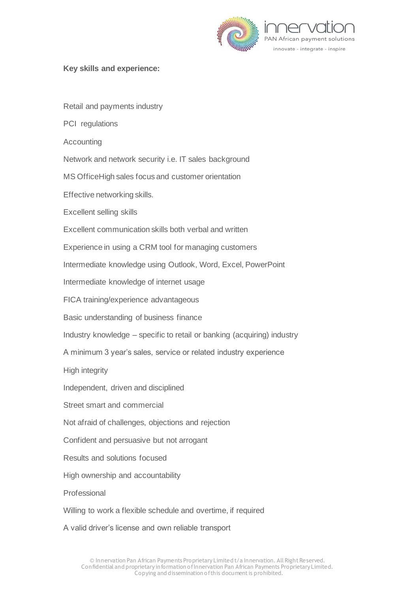

## **Key skills and experience:**

Retail and payments industry

PCI regulations

Accounting

Network and network security i.e. IT sales background

MS OfficeHigh sales focus and customer orientation

Effective networking skills.

Excellent selling skills

Excellent communication skills both verbal and written

Experience in using a CRM tool for managing customers

Intermediate knowledge using Outlook, Word, Excel, PowerPoint

Intermediate knowledge of internet usage

FICA training/experience advantageous

Basic understanding of business finance

Industry knowledge – specific to retail or banking (acquiring) industry

A minimum 3 year's sales, service or related industry experience

High integrity

Independent, driven and disciplined

Street smart and commercial

Not afraid of challenges, objections and rejection

Confident and persuasive but not arrogant

Results and solutions focused

High ownership and accountability

Professional

Willing to work a flexible schedule and overtime, if required

A valid driver's license and own reliable transport